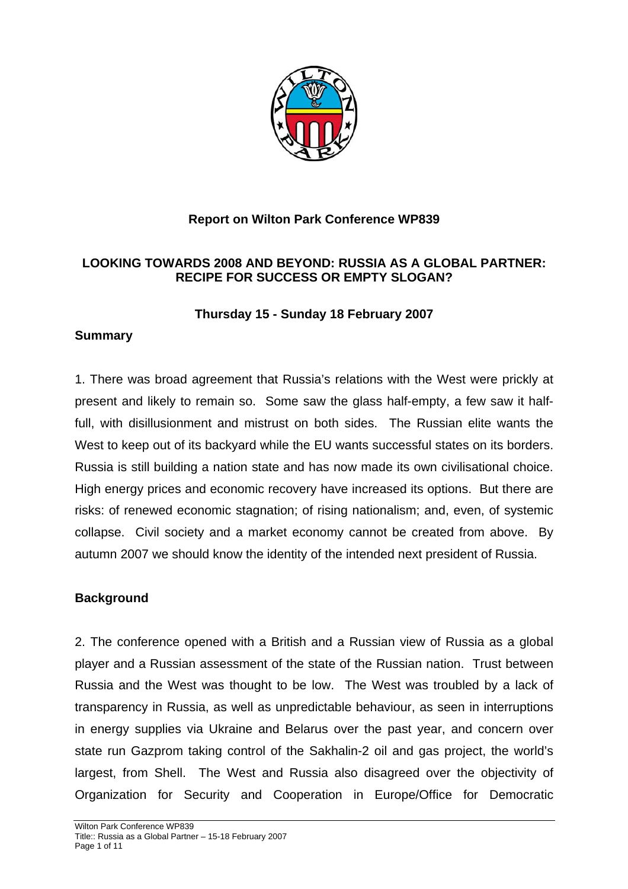

## **Report on Wilton Park Conference WP839**

## **LOOKING TOWARDS 2008 AND BEYOND: RUSSIA AS A GLOBAL PARTNER: RECIPE FOR SUCCESS OR EMPTY SLOGAN?**

### **Thursday 15 - Sunday 18 February 2007**

## **Summary**

1. There was broad agreement that Russia's relations with the West were prickly at present and likely to remain so. Some saw the glass half-empty, a few saw it halffull, with disillusionment and mistrust on both sides. The Russian elite wants the West to keep out of its backyard while the EU wants successful states on its borders. Russia is still building a nation state and has now made its own civilisational choice. High energy prices and economic recovery have increased its options. But there are risks: of renewed economic stagnation; of rising nationalism; and, even, of systemic collapse. Civil society and a market economy cannot be created from above. By autumn 2007 we should know the identity of the intended next president of Russia.

## **Background**

2. The conference opened with a British and a Russian view of Russia as a global player and a Russian assessment of the state of the Russian nation. Trust between Russia and the West was thought to be low. The West was troubled by a lack of transparency in Russia, as well as unpredictable behaviour, as seen in interruptions in energy supplies via Ukraine and Belarus over the past year, and concern over state run Gazprom taking control of the Sakhalin-2 oil and gas project, the world's largest, from Shell. The West and Russia also disagreed over the objectivity of Organization for Security and Cooperation in Europe/Office for Democratic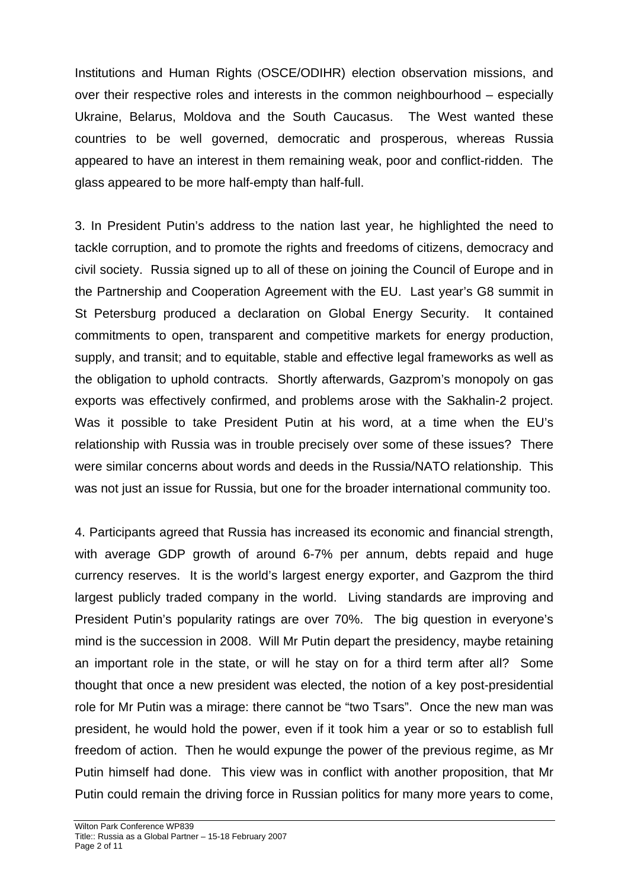Institutions and Human Rights (OSCE/ODIHR) election observation missions, and over their respective roles and interests in the common neighbourhood – especially Ukraine, Belarus, Moldova and the South Caucasus. The West wanted these countries to be well governed, democratic and prosperous, whereas Russia appeared to have an interest in them remaining weak, poor and conflict-ridden. The glass appeared to be more half-empty than half-full.

3. In President Putin's address to the nation last year, he highlighted the need to tackle corruption, and to promote the rights and freedoms of citizens, democracy and civil society. Russia signed up to all of these on joining the Council of Europe and in the Partnership and Cooperation Agreement with the EU. Last year's G8 summit in St Petersburg produced a declaration on Global Energy Security. It contained commitments to open, transparent and competitive markets for energy production, supply, and transit; and to equitable, stable and effective legal frameworks as well as the obligation to uphold contracts. Shortly afterwards, Gazprom's monopoly on gas exports was effectively confirmed, and problems arose with the Sakhalin-2 project. Was it possible to take President Putin at his word, at a time when the EU's relationship with Russia was in trouble precisely over some of these issues? There were similar concerns about words and deeds in the Russia/NATO relationship. This was not just an issue for Russia, but one for the broader international community too.

4. Participants agreed that Russia has increased its economic and financial strength, with average GDP growth of around 6-7% per annum, debts repaid and huge currency reserves. It is the world's largest energy exporter, and Gazprom the third largest publicly traded company in the world. Living standards are improving and President Putin's popularity ratings are over 70%. The big question in everyone's mind is the succession in 2008. Will Mr Putin depart the presidency, maybe retaining an important role in the state, or will he stay on for a third term after all? Some thought that once a new president was elected, the notion of a key post-presidential role for Mr Putin was a mirage: there cannot be "two Tsars". Once the new man was president, he would hold the power, even if it took him a year or so to establish full freedom of action. Then he would expunge the power of the previous regime, as Mr Putin himself had done. This view was in conflict with another proposition, that Mr Putin could remain the driving force in Russian politics for many more years to come,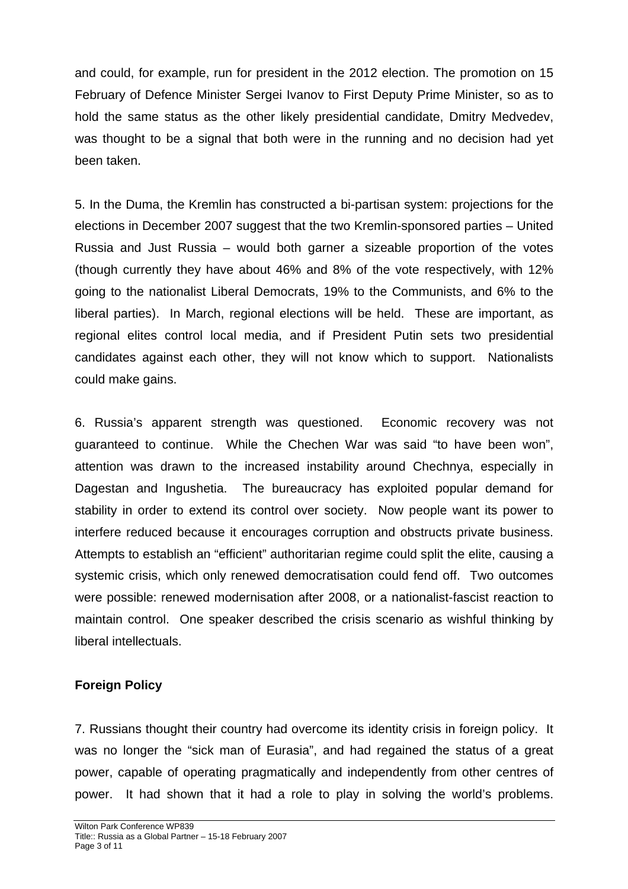and could, for example, run for president in the 2012 election. The promotion on 15 February of Defence Minister Sergei Ivanov to First Deputy Prime Minister, so as to hold the same status as the other likely presidential candidate, Dmitry Medvedev, was thought to be a signal that both were in the running and no decision had yet been taken.

5. In the Duma, the Kremlin has constructed a bi-partisan system: projections for the elections in December 2007 suggest that the two Kremlin-sponsored parties – United Russia and Just Russia – would both garner a sizeable proportion of the votes (though currently they have about 46% and 8% of the vote respectively, with 12% going to the nationalist Liberal Democrats, 19% to the Communists, and 6% to the liberal parties). In March, regional elections will be held. These are important, as regional elites control local media, and if President Putin sets two presidential candidates against each other, they will not know which to support. Nationalists could make gains.

6. Russia's apparent strength was questioned. Economic recovery was not guaranteed to continue. While the Chechen War was said "to have been won", attention was drawn to the increased instability around Chechnya, especially in Dagestan and Ingushetia. The bureaucracy has exploited popular demand for stability in order to extend its control over society. Now people want its power to interfere reduced because it encourages corruption and obstructs private business. Attempts to establish an "efficient" authoritarian regime could split the elite, causing a systemic crisis, which only renewed democratisation could fend off. Two outcomes were possible: renewed modernisation after 2008, or a nationalist-fascist reaction to maintain control. One speaker described the crisis scenario as wishful thinking by liberal intellectuals.

## **Foreign Policy**

7. Russians thought their country had overcome its identity crisis in foreign policy. It was no longer the "sick man of Eurasia", and had regained the status of a great power, capable of operating pragmatically and independently from other centres of power. It had shown that it had a role to play in solving the world's problems.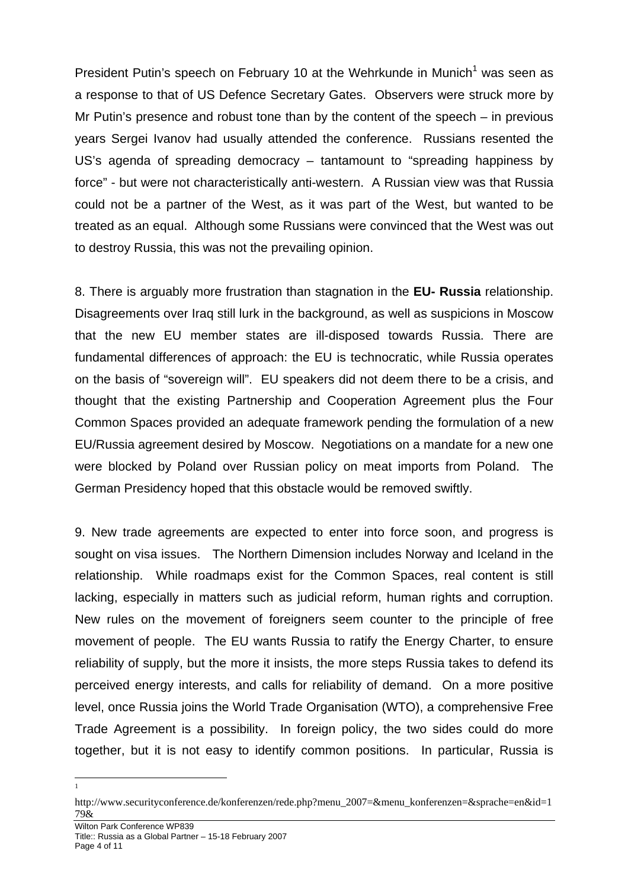President Putin's speech on February [1](#page-3-0)0 at the Wehrkunde in Munich<sup>1</sup> was seen as a response to that of US Defence Secretary Gates. Observers were struck more by Mr Putin's presence and robust tone than by the content of the speech – in previous years Sergei Ivanov had usually attended the conference. Russians resented the US's agenda of spreading democracy – tantamount to "spreading happiness by force" - but were not characteristically anti-western. A Russian view was that Russia could not be a partner of the West, as it was part of the West, but wanted to be treated as an equal. Although some Russians were convinced that the West was out to destroy Russia, this was not the prevailing opinion.

8. There is arguably more frustration than stagnation in the **EU- Russia** relationship. Disagreements over Iraq still lurk in the background, as well as suspicions in Moscow that the new EU member states are ill-disposed towards Russia. There are fundamental differences of approach: the EU is technocratic, while Russia operates on the basis of "sovereign will". EU speakers did not deem there to be a crisis, and thought that the existing Partnership and Cooperation Agreement plus the Four Common Spaces provided an adequate framework pending the formulation of a new EU/Russia agreement desired by Moscow. Negotiations on a mandate for a new one were blocked by Poland over Russian policy on meat imports from Poland. The German Presidency hoped that this obstacle would be removed swiftly.

9. New trade agreements are expected to enter into force soon, and progress is sought on visa issues. The Northern Dimension includes Norway and Iceland in the relationship. While roadmaps exist for the Common Spaces, real content is still lacking, especially in matters such as judicial reform, human rights and corruption. New rules on the movement of foreigners seem counter to the principle of free movement of people. The EU wants Russia to ratify the Energy Charter, to ensure reliability of supply, but the more it insists, the more steps Russia takes to defend its perceived energy interests, and calls for reliability of demand. On a more positive level, once Russia joins the World Trade Organisation (WTO), a comprehensive Free Trade Agreement is a possibility. In foreign policy, the two sides could do more together, but it is not easy to identify common positions. In particular, Russia is

 $\frac{1}{1}$ 

<span id="page-3-0"></span>http://www.securityconference.de/konferenzen/rede.php?menu\_2007=&menu\_konferenzen=&sprache=en&id=1 79&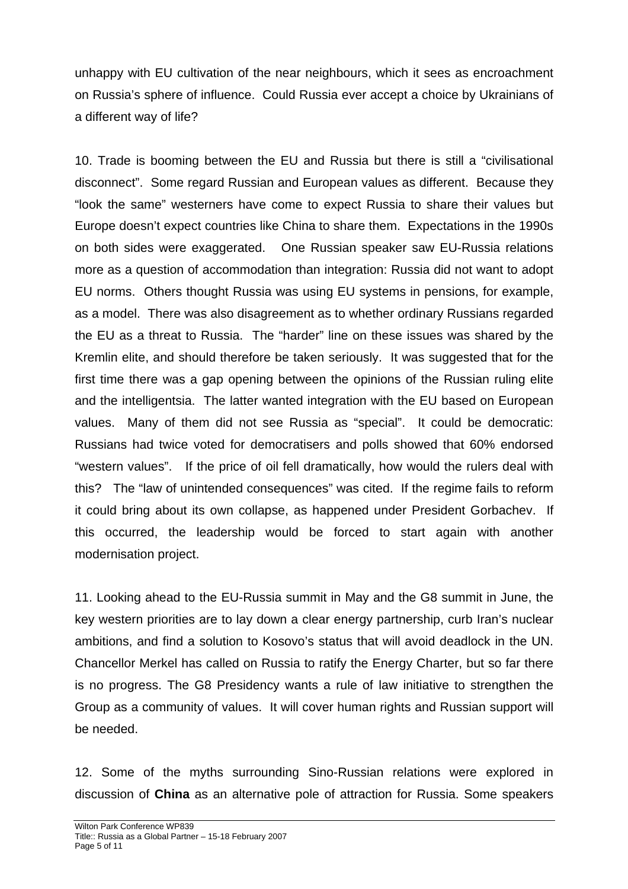unhappy with EU cultivation of the near neighbours, which it sees as encroachment on Russia's sphere of influence. Could Russia ever accept a choice by Ukrainians of a different way of life?

10. Trade is booming between the EU and Russia but there is still a "civilisational disconnect". Some regard Russian and European values as different. Because they "look the same" westerners have come to expect Russia to share their values but Europe doesn't expect countries like China to share them. Expectations in the 1990s on both sides were exaggerated. One Russian speaker saw EU-Russia relations more as a question of accommodation than integration: Russia did not want to adopt EU norms. Others thought Russia was using EU systems in pensions, for example, as a model. There was also disagreement as to whether ordinary Russians regarded the EU as a threat to Russia. The "harder" line on these issues was shared by the Kremlin elite, and should therefore be taken seriously. It was suggested that for the first time there was a gap opening between the opinions of the Russian ruling elite and the intelligentsia. The latter wanted integration with the EU based on European values. Many of them did not see Russia as "special". It could be democratic: Russians had twice voted for democratisers and polls showed that 60% endorsed "western values". If the price of oil fell dramatically, how would the rulers deal with this? The "law of unintended consequences" was cited. If the regime fails to reform it could bring about its own collapse, as happened under President Gorbachev. If this occurred, the leadership would be forced to start again with another modernisation project.

11. Looking ahead to the EU-Russia summit in May and the G8 summit in June, the key western priorities are to lay down a clear energy partnership, curb Iran's nuclear ambitions, and find a solution to Kosovo's status that will avoid deadlock in the UN. Chancellor Merkel has called on Russia to ratify the Energy Charter, but so far there is no progress. The G8 Presidency wants a rule of law initiative to strengthen the Group as a community of values. It will cover human rights and Russian support will be needed.

12. Some of the myths surrounding Sino-Russian relations were explored in discussion of **China** as an alternative pole of attraction for Russia. Some speakers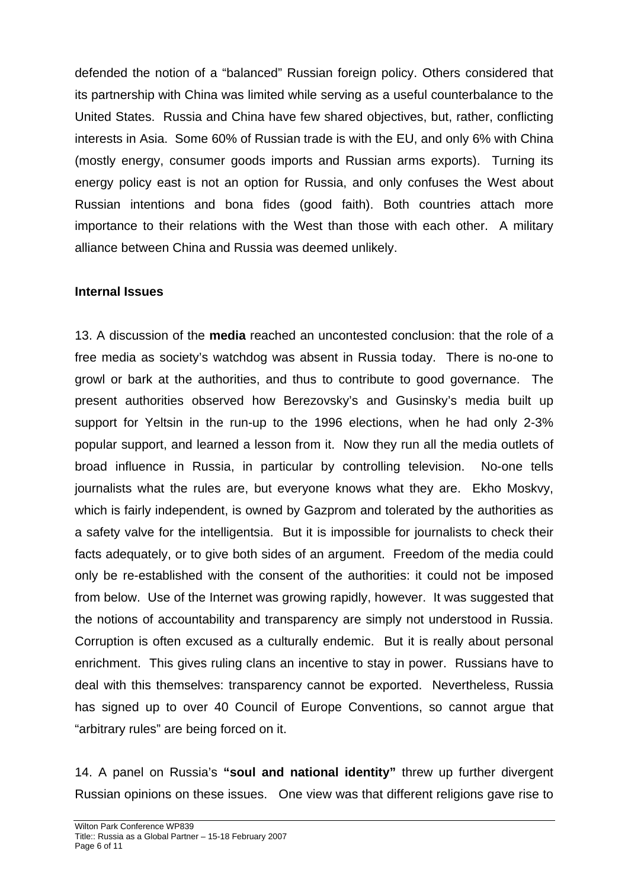defended the notion of a "balanced" Russian foreign policy. Others considered that its partnership with China was limited while serving as a useful counterbalance to the United States. Russia and China have few shared objectives, but, rather, conflicting interests in Asia. Some 60% of Russian trade is with the EU, and only 6% with China (mostly energy, consumer goods imports and Russian arms exports). Turning its energy policy east is not an option for Russia, and only confuses the West about Russian intentions and bona fides (good faith). Both countries attach more importance to their relations with the West than those with each other. A military alliance between China and Russia was deemed unlikely.

# **Internal Issues**

13. A discussion of the **media** reached an uncontested conclusion: that the role of a free media as society's watchdog was absent in Russia today. There is no-one to growl or bark at the authorities, and thus to contribute to good governance. The present authorities observed how Berezovsky's and Gusinsky's media built up support for Yeltsin in the run-up to the 1996 elections, when he had only 2-3% popular support, and learned a lesson from it. Now they run all the media outlets of broad influence in Russia, in particular by controlling television. No-one tells journalists what the rules are, but everyone knows what they are. Ekho Moskvy, which is fairly independent, is owned by Gazprom and tolerated by the authorities as a safety valve for the intelligentsia. But it is impossible for journalists to check their facts adequately, or to give both sides of an argument. Freedom of the media could only be re-established with the consent of the authorities: it could not be imposed from below. Use of the Internet was growing rapidly, however. It was suggested that the notions of accountability and transparency are simply not understood in Russia. Corruption is often excused as a culturally endemic. But it is really about personal enrichment. This gives ruling clans an incentive to stay in power. Russians have to deal with this themselves: transparency cannot be exported. Nevertheless, Russia has signed up to over 40 Council of Europe Conventions, so cannot argue that "arbitrary rules" are being forced on it.

14. A panel on Russia's **"soul and national identity"** threw up further divergent Russian opinions on these issues. One view was that different religions gave rise to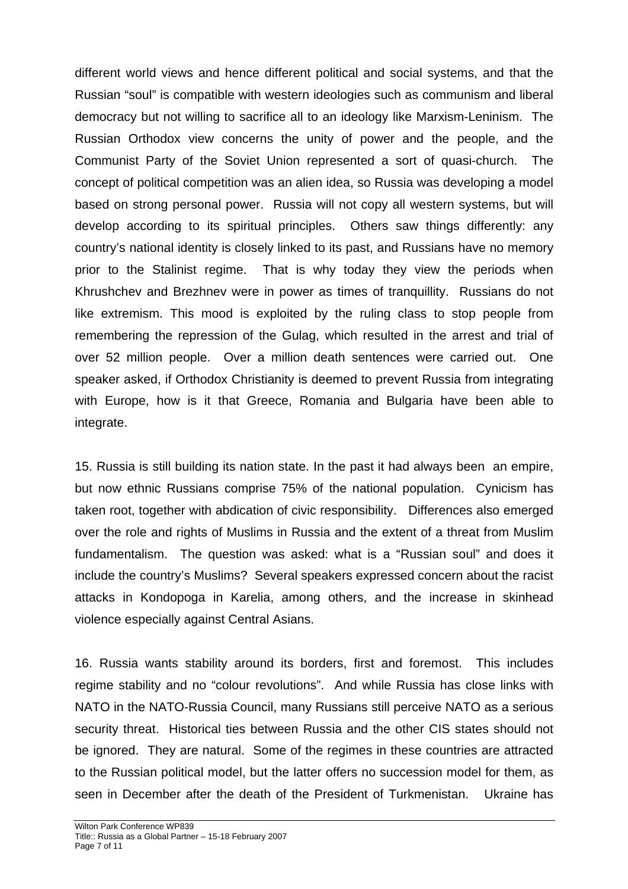different world views and hence different political and social systems, and that the Russian "soul" is compatible with western ideologies such as communism and liberal democracy but not willing to sacrifice all to an ideology like Marxism-Leninism. The Russian Orthodox view concerns the unity of power and the people, and the Communist Party of the Soviet Union represented a sort of quasi-church. The concept of political competition was an alien idea, so Russia was developing a model based on strong personal power. Russia will not copy all western systems, but will develop according to its spiritual principles. Others saw things differently: any country's national identity is closely linked to its past, and Russians have no memory prior to the Stalinist regime. That is why today they view the periods when Khrushchev and Brezhnev were in power as times of tranquillity. Russians do not like extremism. This mood is exploited by the ruling class to stop people from remembering the repression of the Gulag, which resulted in the arrest and trial of over 52 million people. Over a million death sentences were carried out. One speaker asked, if Orthodox Christianity is deemed to prevent Russia from integrating with Europe, how is it that Greece, Romania and Bulgaria have been able to integrate.

15. Russia is still building its nation state. In the past it had always been an empire, but now ethnic Russians comprise 75% of the national population. Cynicism has taken root, together with abdication of civic responsibility. Differences also emerged over the role and rights of Muslims in Russia and the extent of a threat from Muslim fundamentalism. The question was asked: what is a "Russian soul" and does it include the country's Muslims? Several speakers expressed concern about the racist attacks in Kondopoga in Karelia, among others, and the increase in skinhead violence especially against Central Asians.

16. Russia wants stability around its borders, first and foremost. This includes regime stability and no "colour revolutions". And while Russia has close links with NATO in the NATO-Russia Council, many Russians still perceive NATO as a serious security threat. Historical ties between Russia and the other CIS states should not be ignored. They are natural. Some of the regimes in these countries are attracted to the Russian political model, but the latter offers no succession model for them, as seen in December after the death of the President of Turkmenistan. Ukraine has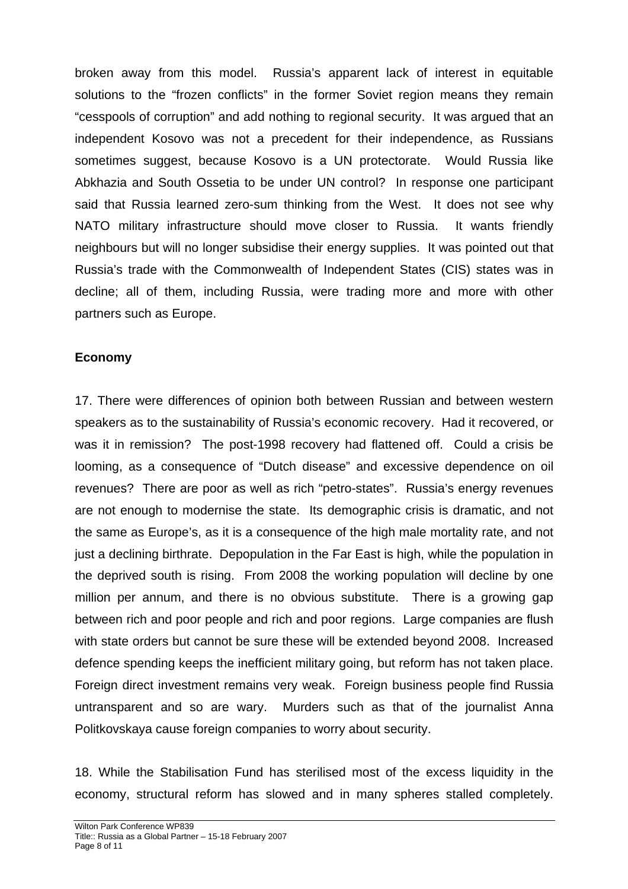broken away from this model. Russia's apparent lack of interest in equitable solutions to the "frozen conflicts" in the former Soviet region means they remain "cesspools of corruption" and add nothing to regional security. It was argued that an independent Kosovo was not a precedent for their independence, as Russians sometimes suggest, because Kosovo is a UN protectorate. Would Russia like Abkhazia and South Ossetia to be under UN control? In response one participant said that Russia learned zero-sum thinking from the West. It does not see why NATO military infrastructure should move closer to Russia. It wants friendly neighbours but will no longer subsidise their energy supplies. It was pointed out that Russia's trade with the Commonwealth of Independent States (CIS) states was in decline; all of them, including Russia, were trading more and more with other partners such as Europe.

## **Economy**

17. There were differences of opinion both between Russian and between western speakers as to the sustainability of Russia's economic recovery. Had it recovered, or was it in remission? The post-1998 recovery had flattened off. Could a crisis be looming, as a consequence of "Dutch disease" and excessive dependence on oil revenues? There are poor as well as rich "petro-states". Russia's energy revenues are not enough to modernise the state. Its demographic crisis is dramatic, and not the same as Europe's, as it is a consequence of the high male mortality rate, and not just a declining birthrate. Depopulation in the Far East is high, while the population in the deprived south is rising. From 2008 the working population will decline by one million per annum, and there is no obvious substitute. There is a growing gap between rich and poor people and rich and poor regions. Large companies are flush with state orders but cannot be sure these will be extended beyond 2008. Increased defence spending keeps the inefficient military going, but reform has not taken place. Foreign direct investment remains very weak. Foreign business people find Russia untransparent and so are wary. Murders such as that of the journalist Anna Politkovskaya cause foreign companies to worry about security.

18. While the Stabilisation Fund has sterilised most of the excess liquidity in the economy, structural reform has slowed and in many spheres stalled completely.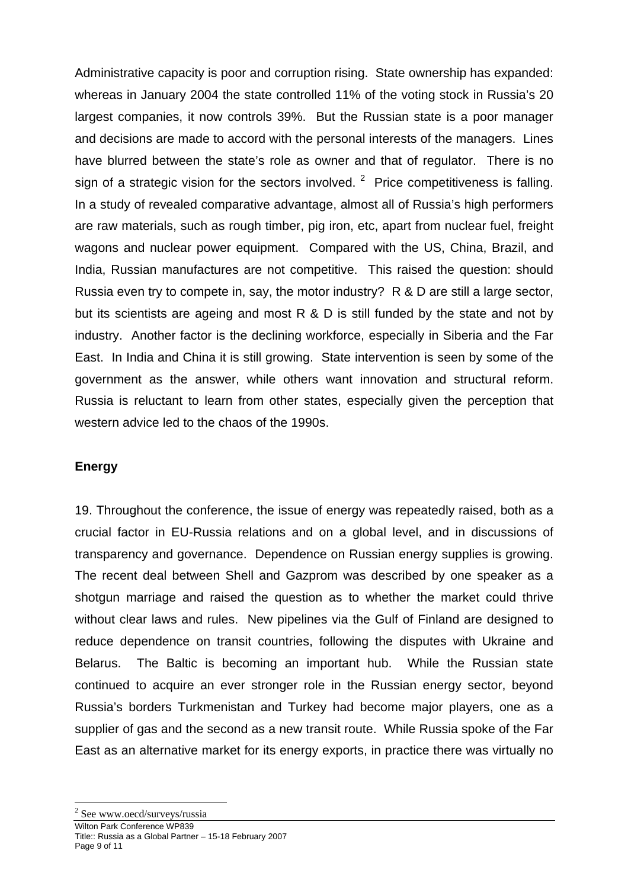Administrative capacity is poor and corruption rising. State ownership has expanded: whereas in January 2004 the state controlled 11% of the voting stock in Russia's 20 largest companies, it now controls 39%. But the Russian state is a poor manager and decisions are made to accord with the personal interests of the managers. Lines have blurred between the state's role as owner and that of regulator. There is no sign of a strategic vision for the sectors involved.  $2$  Price competitiveness is falling. In a study of revealed comparative advantage, almost all of Russia's high performers are raw materials, such as rough timber, pig iron, etc, apart from nuclear fuel, freight wagons and nuclear power equipment. Compared with the US, China, Brazil, and India, Russian manufactures are not competitive. This raised the question: should Russia even try to compete in, say, the motor industry? R & D are still a large sector, but its scientists are ageing and most R & D is still funded by the state and not by industry. Another factor is the declining workforce, especially in Siberia and the Far East. In India and China it is still growing. State intervention is seen by some of the government as the answer, while others want innovation and structural reform. Russia is reluctant to learn from other states, especially given the perception that western advice led to the chaos of the 1990s.

## **Energy**

19. Throughout the conference, the issue of energy was repeatedly raised, both as a crucial factor in EU-Russia relations and on a global level, and in discussions of transparency and governance. Dependence on Russian energy supplies is growing. The recent deal between Shell and Gazprom was described by one speaker as a shotgun marriage and raised the question as to whether the market could thrive without clear laws and rules. New pipelines via the Gulf of Finland are designed to reduce dependence on transit countries, following the disputes with Ukraine and Belarus. The Baltic is becoming an important hub. While the Russian state continued to acquire an ever stronger role in the Russian energy sector, beyond Russia's borders Turkmenistan and Turkey had become major players, one as a supplier of gas and the second as a new transit route. While Russia spoke of the Far East as an alternative market for its energy exports, in practice there was virtually no

<span id="page-8-0"></span>l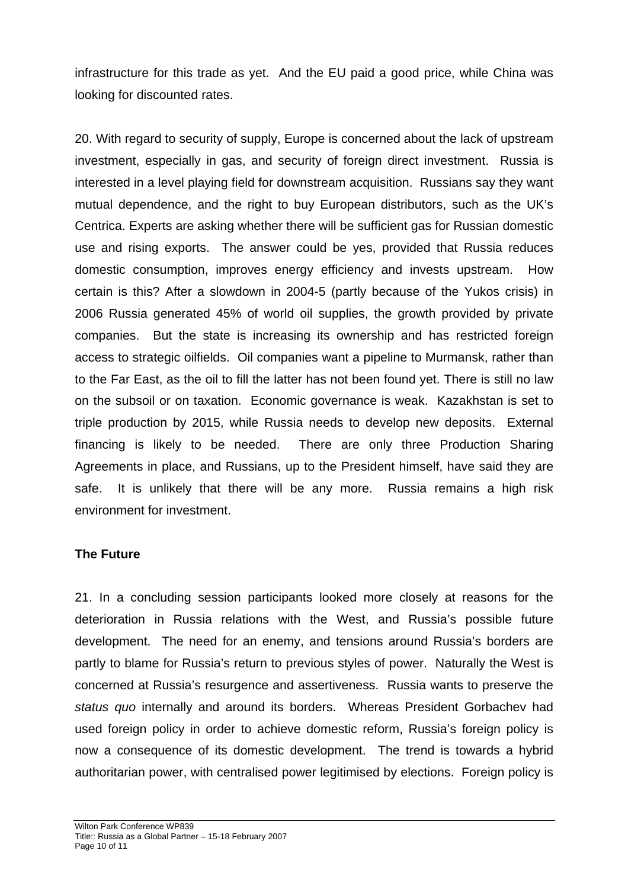infrastructure for this trade as yet. And the EU paid a good price, while China was looking for discounted rates.

20. With regard to security of supply, Europe is concerned about the lack of upstream investment, especially in gas, and security of foreign direct investment. Russia is interested in a level playing field for downstream acquisition. Russians say they want mutual dependence, and the right to buy European distributors, such as the UK's Centrica. Experts are asking whether there will be sufficient gas for Russian domestic use and rising exports. The answer could be yes, provided that Russia reduces domestic consumption, improves energy efficiency and invests upstream. How certain is this? After a slowdown in 2004-5 (partly because of the Yukos crisis) in 2006 Russia generated 45% of world oil supplies, the growth provided by private companies. But the state is increasing its ownership and has restricted foreign access to strategic oilfields. Oil companies want a pipeline to Murmansk, rather than to the Far East, as the oil to fill the latter has not been found yet. There is still no law on the subsoil or on taxation. Economic governance is weak. Kazakhstan is set to triple production by 2015, while Russia needs to develop new deposits. External financing is likely to be needed. There are only three Production Sharing Agreements in place, and Russians, up to the President himself, have said they are safe. It is unlikely that there will be any more. Russia remains a high risk environment for investment.

## **The Future**

21. In a concluding session participants looked more closely at reasons for the deterioration in Russia relations with the West, and Russia's possible future development. The need for an enemy, and tensions around Russia's borders are partly to blame for Russia's return to previous styles of power. Naturally the West is concerned at Russia's resurgence and assertiveness. Russia wants to preserve the *status quo* internally and around its borders. Whereas President Gorbachev had used foreign policy in order to achieve domestic reform, Russia's foreign policy is now a consequence of its domestic development. The trend is towards a hybrid authoritarian power, with centralised power legitimised by elections. Foreign policy is